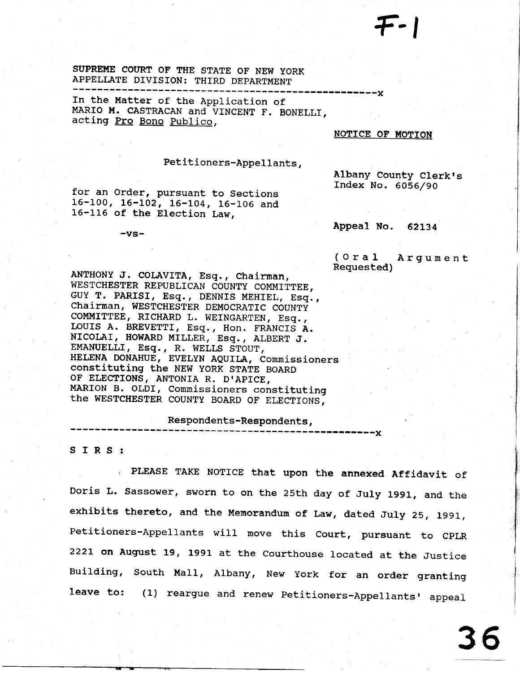SUPREME COURT OF THE STATE OF NEW YORK APPELLATE DIVISION: THIRD DEPARTMENT

In the Matter of the Application of MARIO M. CASTRACAN and VINCENT F. BONELLI, acting Pro Bono Publico,

## NOTICE OF MOTION

## Petitioners-Appellants,

for an Order, pursuant to Sections 16-100, 16-102, 16-104, 16-106 and 16-116 of the Election Law,

 $-vs-$ 

Albany County Clerk's Index No. 6056/90

Appeal No. 62134

 $(0r a 1$ Argument Requested)

ANTHONY J. COLAVITA, Esq., Chairman, WESTCHESTER REPUBLICAN COUNTY COMMITTEE, GUY T. PARISI, Esq., DENNIS MEHIEL, Esq., Chairman, WESTCHESTER DEMOCRATIC COUNTY COMMITTEE, RICHARD L. WEINGARTEN, Esq., LOUIS A. BREVETTI, Esq., Hon. FRANCIS A. NICOLAI, HOWARD MILLER, Esq., ALBERT J. EMANUELLI, Esq., R. WELLS STOUT, HELENA DONAHUE, EVELYN AQUILA, Commissioners Constituting the NEW YORK STATE BOARD OF ELECTIONS, ANTONIA R. D'APICE, MARION B. OLDI, Commissioners constituting the WESTCHESTER COUNTY BOARD OF ELECTIONS,

Respondents-Respondents,

SIRS:

PLEASE TAKE NOTICE that upon the annexed Affidavit of Doris L. Sassower, sworn to on the 25th day of July 1991, and the exhibits thereto, and the Memorandum of Law, dated July 25, 1991, Petitioners-Appellants will move this Court, pursuant to CPLR 2221 on August 19, 1991 at the Courthouse located at the Justice Building, South Mall, Albany, New York for an order granting leave to: (1) reargue and renew Petitioners-Appellants' appeal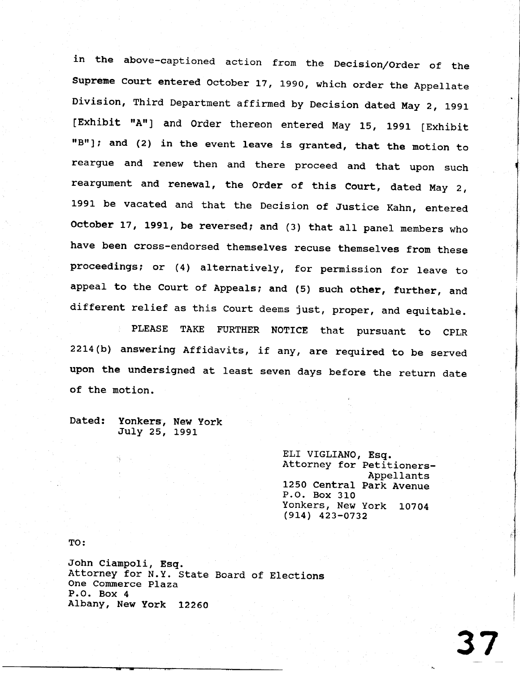in the above-captioned action from the Decision/order of the Supreme Court entered October 17, 1990, which order the Appellate Division, Third Department affirmed by Decision dated May 2, 1991 [Exhibit "A"] and Order thereon entered May 15, 1991 [Exhibit "B"]; and (2) in the event leave is granted, that the motion to reargue and renew then and there proceed and that upon such reargument and renewal, the order of this court, dated May 2, 1991 be vacated and that the Decision of Justice Kahn, entered October 17, 1991, be reversed; and (3) that all panel members who have been cross-endorsed themselves recuse themselves from these proceedings; or  $(4)$  alternatively, for permission for leave to appeal to the Court of Appeals; and (5) such other, further, and different relief as this Court deems just, proper, and equitable.

PLEASE TAKE FURTHER NOTICE that pursuant to CPLR 22L4(b) answering Affidavits, if dny, are required to be served upon the undersigned at least seven days before the return date of the motion.

Dated: Yonkers, New York July 25, 1991

> ELI VIGLIANO, Esq. Attorney for petitioners-Appellants L250 Central park Avenue P.O. Box 310 Yonkers, New York 10704 (eL4) 423-0732

TO:

John Cianpo1i, Esq. Attorney for N.y. State Board of Elections One Commerce plaza P.O. Box 4 Albany, New york 12260

3 7